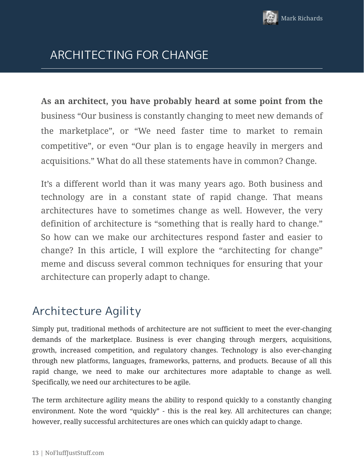

# ARCHITECTING FOR CHANGE

**As an architect, you have probably heard at some point from the** business "Our business is constantly changing to meet new demands of the marketplace", or "We need faster time to market to remain competitive", or even "Our plan is to engage heavily in mergers and acquisitions." What do all these statements have in common? Change.

It's a different world than it was many years ago. Both business and technology are in a constant state of rapid change. That means architectures have to sometimes change as well. However, the very definition of architecture is "something that is really hard to change." So how can we make our architectures respond faster and easier to change? In this article, I will explore the "architecting for change" meme and discuss several common techniques for ensuring that your architecture can properly adapt to change.

# Architecture Agility

Simply put, traditional methods of architecture are not sufficient to meet the ever-changing demands of the marketplace. Business is ever changing through mergers, acquisitions, growth, increased competition, and regulatory changes. Technology is also ever-changing through new platforms, languages, frameworks, patterns, and products. Because of all this rapid change, we need to make our architectures more adaptable to change as well. Specifically, we need our architectures to be agile.

The term architecture agility means the ability to respond quickly to a constantly changing environment. Note the word "quickly" - this is the real key. All architectures can change; however, really successful architectures are ones which can quickly adapt to change.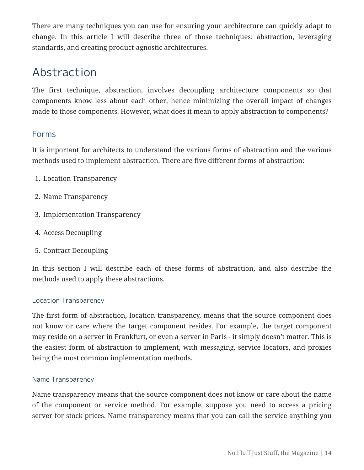There are many techniques you can use for ensuring your architecture can quickly adapt to change. In this article I will describe three of those techniques: abstraction, leveraging standards, and creating product-agnostic architectures.

# Abstraction

The first technique, abstraction, involves decoupling architecture components so that components know less about each other, hence minimizing the overall impact of changes made to those components. However, what does it mean to apply abstraction to components?

## Forms

It is important for architects to understand the various forms of abstraction and the various methods used to implement abstraction. There are five different forms of abstraction:

- 1. Location Transparency
- 2. Name Transparency
- 3. Implementation Transparency
- 4. Access Decoupling
- 5. Contract Decoupling

In this section I will describe each of these forms of abstraction, and also describe the methods used to apply these abstractions.

### Location Transparency

The first form of abstraction, location transparency, means that the source component does not know or care where the target component resides. For example, the target component may reside on a server in Frankfurt, or even a server in Paris - it simply doesn't matter. This is the easiest form of abstraction to implement, with messaging, service locators, and proxies being the most common implementation methods.

### Name Transparency

Name transparency means that the source component does not know or care about the name of the component or service method. For example, suppose you need to access a pricing server for stock prices. Name transparency means that you can call the service anything you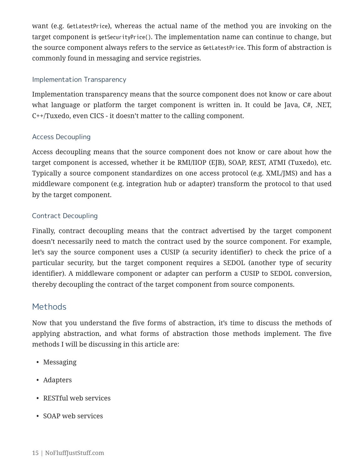want (e.g. GetLatestPrice), whereas the actual name of the method you are invoking on the target component is getSecurityPrice(). The implementation name can continue to change, but the source component always refers to the service as GetLatestPrice. This form of abstraction is commonly found in messaging and service registries.

### Implementation Transparency

Implementation transparency means that the source component does not know or care about what language or platform the target component is written in. It could be Java, C#, .NET, C++/Tuxedo, even CICS - it doesn't matter to the calling component.

### Access Decoupling

Access decoupling means that the source component does not know or care about how the target component is accessed, whether it be RMI/IIOP (EJB), SOAP, REST, ATMI (Tuxedo), etc. Typically a source component standardizes on one access protocol (e.g. XML/JMS) and has a middleware component (e.g. integration hub or adapter) transform the protocol to that used by the target component.

### Contract Decoupling

Finally, contract decoupling means that the contract advertised by the target component doesn't necessarily need to match the contract used by the source component. For example, let's say the source component uses a CUSIP (a security identifier) to check the price of a particular security, but the target component requires a SEDOL (another type of security identifier). A middleware component or adapter can perform a CUSIP to SEDOL conversion, thereby decoupling the contract of the target component from source components.

### Methods

Now that you understand the five forms of abstraction, it's time to discuss the methods of applying abstraction, and what forms of abstraction those methods implement. The five methods I will be discussing in this article are:

- Messaging
- Adapters
- RESTful web services
- SOAP web services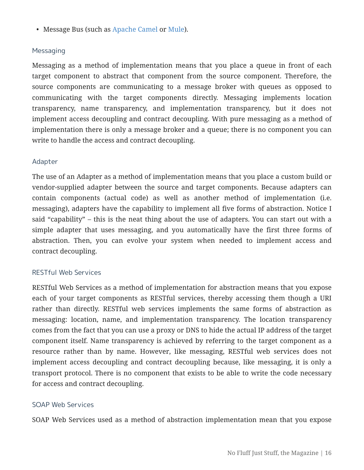• Message Bus (such as Apache Camel or Mule).

#### Messaging

Messaging as a method of implementation means that you place a queue in front of each target component to abstract that component from the source component. Therefore, the source components are communicating to a message broker with queues as opposed to communicating with the target components directly. Messaging implements location transparency, name transparency, and implementation transparency, but it does not implement access decoupling and contract decoupling. With pure messaging as a method of implementation there is only a message broker and a queue; there is no component you can write to handle the access and contract decoupling.

#### Adapter

The use of an Adapter as a method of implementation means that you place a custom build or vendor-supplied adapter between the source and target components. Because adapters can contain components (actual code) as well as another method of implementation (i.e. messaging), adapters have the capability to implement all five forms of abstraction. Notice I said "capability" – this is the neat thing about the use of adapters. You can start out with a simple adapter that uses messaging, and you automatically have the first three forms of abstraction. Then, you can evolve your system when needed to implement access and contract decoupling.

#### RESTful Web Services

RESTful Web Services as a method of implementation for abstraction means that you expose each of your target components as RESTful services, thereby accessing them though a URI rather than directly. RESTful web services implements the same forms of abstraction as messaging: location, name, and implementation transparency. The location transparency comes from the fact that you can use a proxy or DNS to hide the actual IP address of the target component itself. Name transparency is achieved by referring to the target component as a resource rather than by name. However, like messaging, RESTful web services does not implement access decoupling and contract decoupling because, like messaging, it is only a transport protocol. There is no component that exists to be able to write the code necessary for access and contract decoupling.

#### SOAP Web Services

SOAP Web Services used as a method of abstraction implementation mean that you expose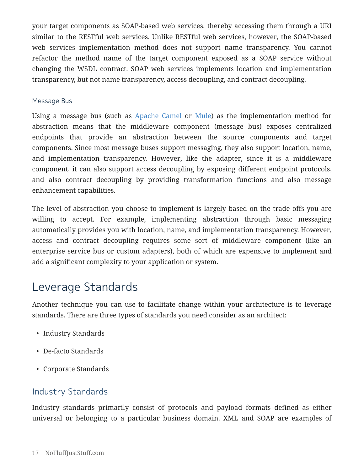your target components as SOAP-based web services, thereby accessing them through a URI similar to the RESTful web services. Unlike RESTful web services, however, the SOAP-based web services implementation method does not support name transparency. You cannot refactor the method name of the target component exposed as a SOAP service without changing the WSDL contract. SOAP web services implements location and implementation transparency, but not name transparency, access decoupling, and contract decoupling.

#### Message Bus

Using a message bus (such as Apache Camel or Mule) as the implementation method for abstraction means that the middleware component (message bus) exposes centralized endpoints that provide an abstraction between the source components and target components. Since most message buses support messaging, they also support location, name, and implementation transparency. However, like the adapter, since it is a middleware component, it can also support access decoupling by exposing different endpoint protocols, and also contract decoupling by providing transformation functions and also message enhancement capabilities.

The level of abstraction you choose to implement is largely based on the trade offs you are willing to accept. For example, implementing abstraction through basic messaging automatically provides you with location, name, and implementation transparency. However, access and contract decoupling requires some sort of middleware component (like an enterprise service bus or custom adapters), both of which are expensive to implement and add a significant complexity to your application or system.

# Leverage Standards

Another technique you can use to facilitate change within your architecture is to leverage standards. There are three types of standards you need consider as an architect:

- Industry Standards
- De-facto Standards
- Corporate Standards

### Industry Standards

Industry standards primarily consist of protocols and payload formats defined as either universal or belonging to a particular business domain. XML and SOAP are examples of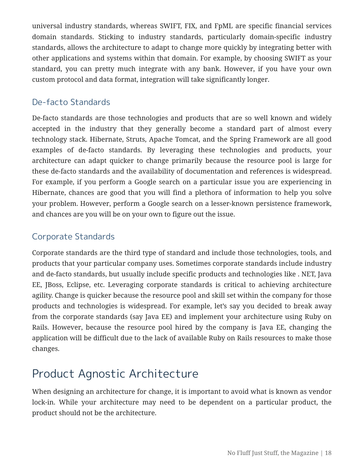universal industry standards, whereas SWIFT, FIX, and FpML are specific financial services domain standards. Sticking to industry standards, particularly domain-specific industry standards, allows the architecture to adapt to change more quickly by integrating better with other applications and systems within that domain. For example, by choosing SWIFT as your standard, you can pretty much integrate with any bank. However, if you have your own custom protocol and data format, integration will take significantly longer.

## De-facto Standards

De-facto standards are those technologies and products that are so well known and widely accepted in the industry that they generally become a standard part of almost every technology stack. Hibernate, Struts, Apache Tomcat, and the Spring Framework are all good examples of de-facto standards. By leveraging these technologies and products, your architecture can adapt quicker to change primarily because the resource pool is large for these de-facto standards and the availability of documentation and references is widespread. For example, if you perform a Google search on a particular issue you are experiencing in Hibernate, chances are good that you will find a plethora of information to help you solve your problem. However, perform a Google search on a lesser-known persistence framework, and chances are you will be on your own to figure out the issue.

## Corporate Standards

Corporate standards are the third type of standard and include those technologies, tools, and products that your particular company uses. Sometimes corporate standards include industry and de-facto standards, but usually include specific products and technologies like . NET, Java EE, JBoss, Eclipse, etc. Leveraging corporate standards is critical to achieving architecture agility. Change is quicker because the resource pool and skill set within the company for those products and technologies is widespread. For example, let's say you decided to break away from the corporate standards (say Java EE) and implement your architecture using Ruby on Rails. However, because the resource pool hired by the company is Java EE, changing the application will be difficult due to the lack of available Ruby on Rails resources to make those changes.

# Product Agnostic Architecture

When designing an architecture for change, it is important to avoid what is known as vendor lock-in. While your architecture may need to be dependent on a particular product, the product should not be the architecture.